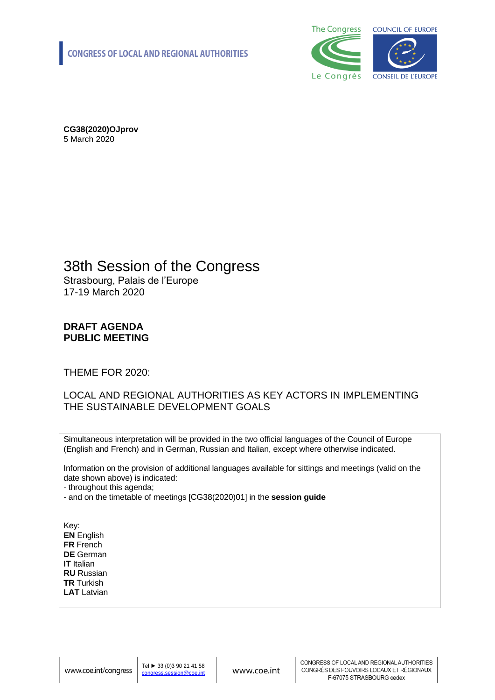

**CG38(2020)OJprov** 5 March 2020

#### 38th Session of the Congress Strasbourg, Palais de l'Europe

17-19 March 2020

#### **DRAFT AGENDA PUBLIC MEETING**

THEME FOR 2020:

#### LOCAL AND REGIONAL AUTHORITIES AS KEY ACTORS IN IMPLEMENTING THE SUSTAINABLE DEVELOPMENT GOALS

Simultaneous interpretation will be provided in the two official languages of the Council of Europe (English and French) and in German, Russian and Italian, except where otherwise indicated.

Information on the provision of additional languages available for sittings and meetings (valid on the date shown above) is indicated:

- throughout this agenda;

- and on the timetable of meetings [CG38(2020)01] in the **session guide**

Key: **EN** English **FR** French **DE** German **IT** Italian **RU** Russian **TR** Turkish **LAT** Latvian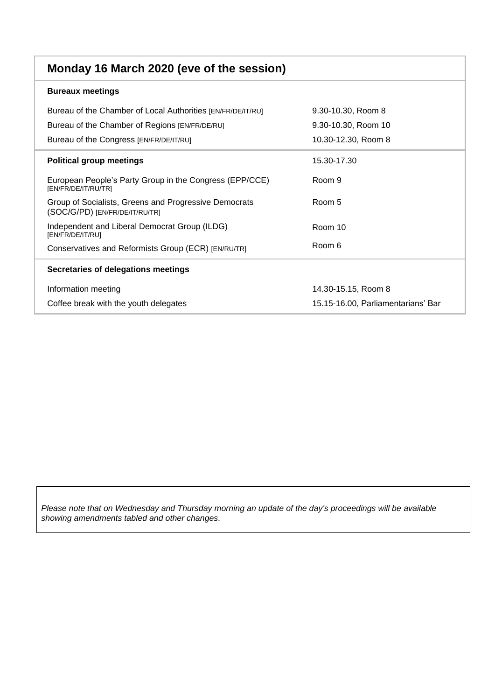| Monday 16 March 2020 (eve of the session)                                               |                                    |
|-----------------------------------------------------------------------------------------|------------------------------------|
| <b>Bureaux meetings</b>                                                                 |                                    |
| Bureau of the Chamber of Local Authorities [EN/FR/DE/IT/RU]                             | 9.30-10.30, Room 8                 |
| Bureau of the Chamber of Regions [EN/FR/DE/RU]                                          | 9.30-10.30, Room 10                |
| Bureau of the Congress [EN/FR/DE/IT/RU]                                                 | 10.30-12.30, Room 8                |
| <b>Political group meetings</b>                                                         | 15.30-17.30                        |
| European People's Party Group in the Congress (EPP/CCE)<br>[EN/FR/DE/IT/RU/TR]          | Room 9                             |
| Group of Socialists, Greens and Progressive Democrats<br>(SOC/G/PD) [EN/FR/DE/IT/RU/TR] | Room 5                             |
| Independent and Liberal Democrat Group (ILDG)<br>[EN/FR/DE/IT/RU]                       | Room 10                            |
| Conservatives and Reformists Group (ECR) [EN/RU/TR]                                     | Room 6                             |
| Secretaries of delegations meetings                                                     |                                    |
| Information meeting                                                                     | 14.30-15.15, Room 8                |
| Coffee break with the youth delegates                                                   | 15.15-16.00, Parliamentarians' Bar |

*Please note that on Wednesday and Thursday morning an update of the day's proceedings will be available showing amendments tabled and other changes.*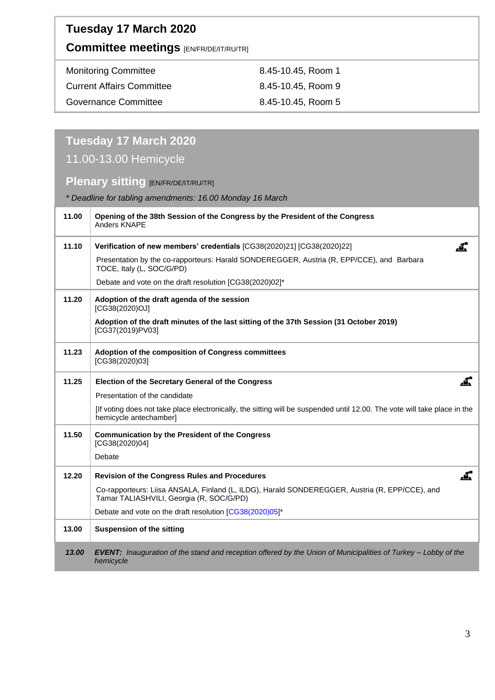### **Tuesday 17 March 2020**

#### **Committee meetings** [EN/FR/DE/IT/RU/TR]

| <b>Monitoring Committee</b>      | 8.45-10.45, Room 1 |
|----------------------------------|--------------------|
| <b>Current Affairs Committee</b> | 8.45-10.45, Room 9 |
| <b>Governance Committee</b>      | 8.45-10.45, Room 5 |

# **Tuesday 17 March 2020**

### 11.00-13.00 Hemicycle

#### **Plenary sitting [EN/FR/DE/IT/RU/TR]**

*\* Deadline for tabling amendments: 16.00 Monday 16 March*

| 11.00 | Opening of the 38th Session of the Congress by the President of the Congress<br>Anders KNAPE                                                        |
|-------|-----------------------------------------------------------------------------------------------------------------------------------------------------|
| 11.10 | Verification of new members' credentials [CG38(2020)21] [CG38(2020)22]                                                                              |
|       | Presentation by the co-rapporteurs: Harald SONDEREGGER, Austria (R, EPP/CCE), and Barbara<br>TOCE, Italy (L, SOC/G/PD)                              |
|       | Debate and vote on the draft resolution [CG38(2020)02]*                                                                                             |
| 11.20 | Adoption of the draft agenda of the session<br>[CG38(2020)OJ]                                                                                       |
|       | Adoption of the draft minutes of the last sitting of the 37th Session (31 October 2019)<br>[CG37(2019)PV03]                                         |
| 11.23 | Adoption of the composition of Congress committees<br>[CG38(2020)03]                                                                                |
| 11.25 | <u>.4.</u><br><b>Election of the Secretary General of the Congress</b>                                                                              |
|       | Presentation of the candidate                                                                                                                       |
|       | [If voting does not take place electronically, the sitting will be suspended until 12.00. The vote will take place in the<br>hemicycle antechamber] |
| 11.50 | <b>Communication by the President of the Congress</b><br>[CG38(2020)04]                                                                             |
|       | Debate                                                                                                                                              |
| 12.20 | Revision of the Congress Rules and Procedures                                                                                                       |
|       | Co-rapporteurs: Liisa ANSALA, Finland (L, ILDG), Harald SONDEREGGER, Austria (R, EPP/CCE), and<br>Tamar TALIASHVILI, Georgia (R, SOC/G/PD)          |
|       | Debate and vote on the draft resolution [CG38(2020)05]*                                                                                             |
| 13.00 | <b>Suspension of the sitting</b>                                                                                                                    |
| 13.00 | EVENT: Inauguration of the stand and reception offered by the Union of Municipalities of Turkey - Lobby of the<br>hemicycle                         |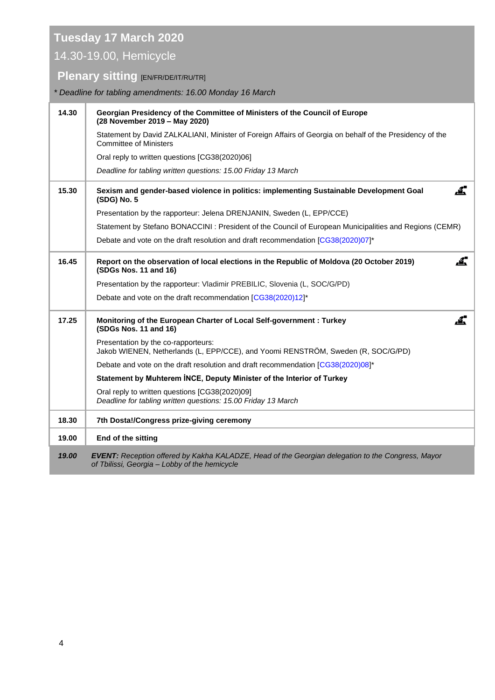## **Tuesday 17 March 2020**

### 14.30-19.00, Hemicycle

### **Plenary sitting [EN/FR/DE/IT/RU/TR]**

*\* Deadline for tabling amendments: 16.00 Monday 16 March*

| 14.30 | Georgian Presidency of the Committee of Ministers of the Council of Europe<br>(28 November 2019 - May 2020)                                        |
|-------|----------------------------------------------------------------------------------------------------------------------------------------------------|
|       | Statement by David ZALKALIANI, Minister of Foreign Affairs of Georgia on behalf of the Presidency of the<br><b>Committee of Ministers</b>          |
|       | Oral reply to written questions [CG38(2020)06]                                                                                                     |
|       | Deadline for tabling written questions: 15.00 Friday 13 March                                                                                      |
| 15.30 | Æ.,<br>Sexism and gender-based violence in politics: implementing Sustainable Development Goal<br>(SDG) No. 5                                      |
|       | Presentation by the rapporteur: Jelena DRENJANIN, Sweden (L, EPP/CCE)                                                                              |
|       | Statement by Stefano BONACCINI: President of the Council of European Municipalities and Regions (CEMR)                                             |
|       | Debate and vote on the draft resolution and draft recommendation [CG38(2020)07]*                                                                   |
| 16.45 | Æ.<br>Report on the observation of local elections in the Republic of Moldova (20 October 2019)<br>(SDGs Nos. 11 and 16)                           |
|       | Presentation by the rapporteur: Vladimir PREBILIC, Slovenia (L, SOC/G/PD)                                                                          |
|       | Debate and vote on the draft recommendation [CG38(2020)12]*                                                                                        |
| 17.25 | "⊾<br>Monitoring of the European Charter of Local Self-government : Turkey<br>(SDGs Nos. 11 and 16)                                                |
|       | Presentation by the co-rapporteurs:<br>Jakob WIENEN, Netherlands (L, EPP/CCE), and Yoomi RENSTRÖM, Sweden (R, SOC/G/PD)                            |
|       | Debate and vote on the draft resolution and draft recommendation [CG38(2020)08]*                                                                   |
|       | Statement by Muhterem INCE, Deputy Minister of the Interior of Turkey                                                                              |
|       | Oral reply to written questions [CG38(2020)09]<br>Deadline for tabling written questions: 15.00 Friday 13 March                                    |
| 18.30 | 7th Dosta!/Congress prize-giving ceremony                                                                                                          |
| 19.00 | End of the sitting                                                                                                                                 |
| 19.00 | EVENT: Reception offered by Kakha KALADZE, Head of the Georgian delegation to the Congress, Mayor<br>of Tbilissi, Georgia - Lobby of the hemicycle |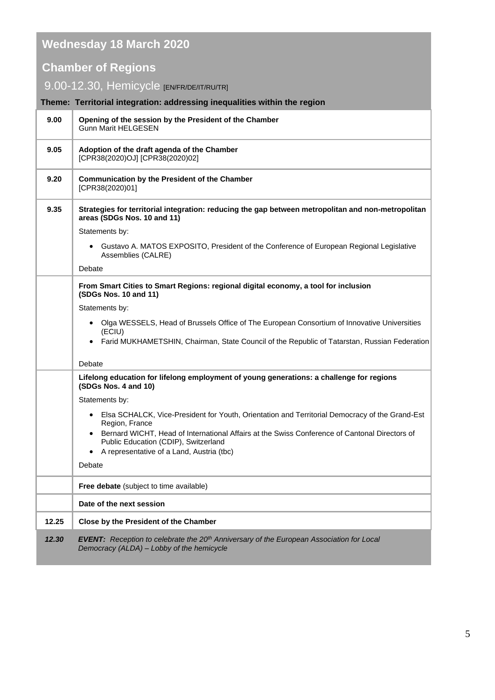## **Wednesday 18 March 2020**

### **Chamber of Regions**

### 9.00-12.30, Hemicycle [EN/FR/DE/IT/RU/TR]

|       | Theme: Territorial integration: addressing inequalities within the region                                                                                |
|-------|----------------------------------------------------------------------------------------------------------------------------------------------------------|
| 9.00  | Opening of the session by the President of the Chamber<br><b>Gunn Marit HELGESEN</b>                                                                     |
| 9.05  | Adoption of the draft agenda of the Chamber<br>[CPR38(2020)OJ] [CPR38(2020)02]                                                                           |
| 9.20  | <b>Communication by the President of the Chamber</b><br>[CPR38(2020)01]                                                                                  |
| 9.35  | Strategies for territorial integration: reducing the gap between metropolitan and non-metropolitan<br>areas (SDGs Nos. 10 and 11)                        |
|       | Statements by:                                                                                                                                           |
|       | Gustavo A. MATOS EXPOSITO, President of the Conference of European Regional Legislative<br>$\bullet$<br>Assemblies (CALRE)                               |
|       | Debate                                                                                                                                                   |
|       | From Smart Cities to Smart Regions: regional digital economy, a tool for inclusion<br>(SDGs Nos. 10 and 11)                                              |
|       | Statements by:                                                                                                                                           |
|       | Olga WESSELS, Head of Brussels Office of The European Consortium of Innovative Universities<br>(ECIU)                                                    |
|       | Farid MUKHAMETSHIN, Chairman, State Council of the Republic of Tatarstan, Russian Federation                                                             |
|       | Debate                                                                                                                                                   |
|       | Lifelong education for lifelong employment of young generations: a challenge for regions<br>(SDGs Nos. 4 and 10)                                         |
|       | Statements by:                                                                                                                                           |
|       | • Elsa SCHALCK, Vice-President for Youth, Orientation and Territorial Democracy of the Grand-Est<br>Region, France                                       |
|       | Bernard WICHT, Head of International Affairs at the Swiss Conference of Cantonal Directors of<br>Public Education (CDIP), Switzerland                    |
|       | A representative of a Land, Austria (tbc)                                                                                                                |
|       | Debate                                                                                                                                                   |
|       | Free debate (subject to time available)                                                                                                                  |
|       | Date of the next session                                                                                                                                 |
| 12.25 | Close by the President of the Chamber                                                                                                                    |
| 12.30 | <b>EVENT:</b> Reception to celebrate the 20 <sup>th</sup> Anniversary of the European Association for Local<br>Democracy (ALDA) - Lobby of the hemicycle |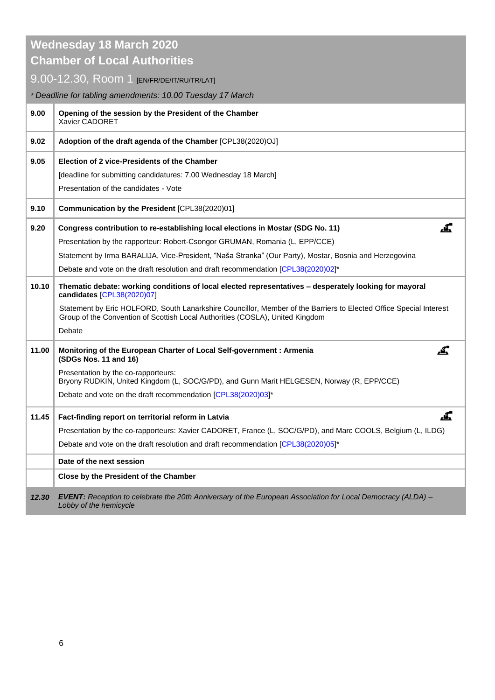|                                     | <b>Wednesday 18 March 2020</b>                                                                                                                                                                      |  |  |
|-------------------------------------|-----------------------------------------------------------------------------------------------------------------------------------------------------------------------------------------------------|--|--|
| <b>Chamber of Local Authorities</b> |                                                                                                                                                                                                     |  |  |
|                                     | 9.00-12.30, ROOM 1 [EN/FR/DE/IT/RU/TR/LAT]                                                                                                                                                          |  |  |
|                                     | * Deadline for tabling amendments: 10.00 Tuesday 17 March                                                                                                                                           |  |  |
| 9.00                                | Opening of the session by the President of the Chamber<br>Xavier CADORET                                                                                                                            |  |  |
| 9.02                                | Adoption of the draft agenda of the Chamber [CPL38(2020)OJ]                                                                                                                                         |  |  |
| 9.05                                | Election of 2 vice-Presidents of the Chamber                                                                                                                                                        |  |  |
|                                     | [deadline for submitting candidatures: 7.00 Wednesday 18 March]                                                                                                                                     |  |  |
|                                     | Presentation of the candidates - Vote                                                                                                                                                               |  |  |
| 9.10                                | Communication by the President [CPL38(2020)01]                                                                                                                                                      |  |  |
| 9.20                                | .₫.<br>Congress contribution to re-establishing local elections in Mostar (SDG No. 11)                                                                                                              |  |  |
|                                     | Presentation by the rapporteur: Robert-Csongor GRUMAN, Romania (L, EPP/CCE)                                                                                                                         |  |  |
|                                     | Statement by Irma BARALIJA, Vice-President, "Naša Stranka" (Our Party), Mostar, Bosnia and Herzegovina                                                                                              |  |  |
|                                     | Debate and vote on the draft resolution and draft recommendation [CPL38(2020)02]*                                                                                                                   |  |  |
| 10.10                               | Thematic debate: working conditions of local elected representatives - desperately looking for mayoral<br>candidates [CPL38(2020)07]                                                                |  |  |
|                                     | Statement by Eric HOLFORD, South Lanarkshire Councillor, Member of the Barriers to Elected Office Special Interest<br>Group of the Convention of Scottish Local Authorities (COSLA), United Kingdom |  |  |
|                                     | Debate                                                                                                                                                                                              |  |  |
| 11.00                               | <u>.4,</u><br>Monitoring of the European Charter of Local Self-government : Armenia<br>(SDGs Nos. 11 and 16)                                                                                        |  |  |
|                                     | Presentation by the co-rapporteurs:<br>Bryony RUDKIN, United Kingdom (L, SOC/G/PD), and Gunn Marit HELGESEN, Norway (R, EPP/CCE)                                                                    |  |  |
|                                     | Debate and vote on the draft recommendation [CPL38(2020)03]*                                                                                                                                        |  |  |
| 11.45                               | Fact-finding report on territorial reform in Latvia                                                                                                                                                 |  |  |
|                                     | Presentation by the co-rapporteurs: Xavier CADORET, France (L, SOC/G/PD), and Marc COOLS, Belgium (L, ILDG)                                                                                         |  |  |
|                                     | Debate and vote on the draft resolution and draft recommendation [CPL38(2020)05]*                                                                                                                   |  |  |
|                                     | Date of the next session                                                                                                                                                                            |  |  |
|                                     | Close by the President of the Chamber                                                                                                                                                               |  |  |
| 12.30                               | EVENT: Reception to celebrate the 20th Anniversary of the European Association for Local Democracy (ALDA) -<br>Lobby of the hemicycle                                                               |  |  |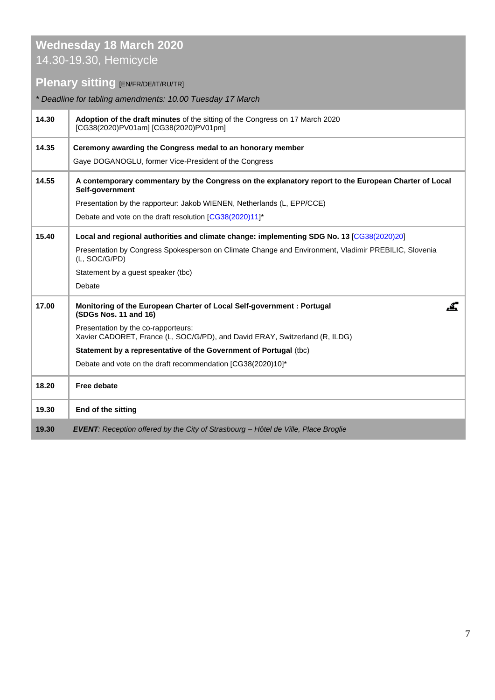#### **Wednesday 18 March 2020** 14.30-19.30, Hemicycle

### **Plenary sitting <b>[EN/FR/DE/IT/RU/TR]**

| * Deadline for tabling amendments: 10.00 Tuesday 17 March |                                                                                                                         |
|-----------------------------------------------------------|-------------------------------------------------------------------------------------------------------------------------|
| 14.30                                                     | Adoption of the draft minutes of the sitting of the Congress on 17 March 2020<br>[CG38(2020)PV01am] [CG38(2020)PV01pm]  |
| 14.35                                                     | Ceremony awarding the Congress medal to an honorary member                                                              |
|                                                           | Gaye DOGANOGLU, former Vice-President of the Congress                                                                   |
| 14.55                                                     | A contemporary commentary by the Congress on the explanatory report to the European Charter of Local<br>Self-government |
|                                                           | Presentation by the rapporteur: Jakob WIENEN, Netherlands (L, EPP/CCE)                                                  |
|                                                           | Debate and vote on the draft resolution [CG38(2020)11]*                                                                 |
| 15.40                                                     | Local and regional authorities and climate change: implementing SDG No. 13 [CG38(2020)20]                               |
|                                                           | Presentation by Congress Spokesperson on Climate Change and Environment, Vladimir PREBILIC, Slovenia<br>(L, SOC/G/PD)   |
|                                                           | Statement by a guest speaker (tbc)                                                                                      |
|                                                           | Debate                                                                                                                  |
| 17.00                                                     | Monitoring of the European Charter of Local Self-government : Portugal<br>Æ.<br>(SDGs Nos. 11 and 16)                   |
|                                                           | Presentation by the co-rapporteurs:<br>Xavier CADORET, France (L, SOC/G/PD), and David ERAY, Switzerland (R, ILDG)      |
|                                                           | Statement by a representative of the Government of Portugal (tbc)                                                       |
|                                                           | Debate and vote on the draft recommendation [CG38(2020)10]*                                                             |
| 18.20                                                     | Free debate                                                                                                             |
| 19.30                                                     | End of the sitting                                                                                                      |
| 19.30                                                     | EVENT: Reception offered by the City of Strasbourg - Hôtel de Ville, Place Broglie                                      |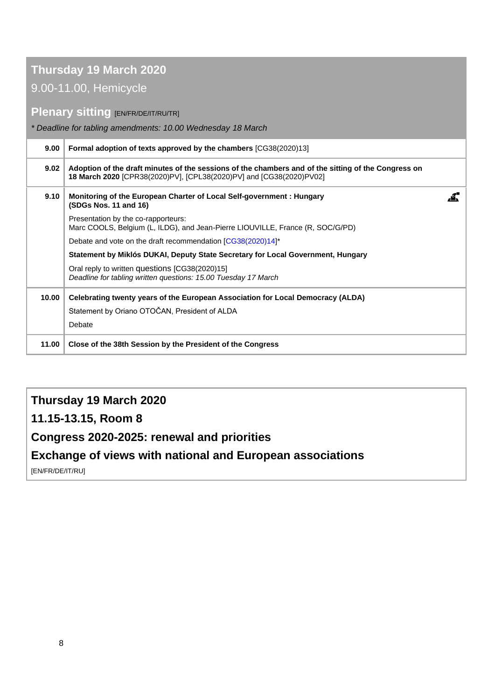#### **Thursday 19 March 2020**

#### 9.00-11.00, Hemicycle

#### **Plenary sitting [EN/FR/DE/IT/RU/TR]**

*\* Deadline for tabling amendments: 10.00 Wednesday 18 March*

| 9.00  | <b>Formal adoption of texts approved by the chambers [CG38(2020)13]</b>                                                                                                    |  |
|-------|----------------------------------------------------------------------------------------------------------------------------------------------------------------------------|--|
| 9.02  | Adoption of the draft minutes of the sessions of the chambers and of the sitting of the Congress on<br>18 March 2020 [CPR38(2020)PV], [CPL38(2020)PV] and [CG38(2020)PV02] |  |
| 9.10  | Monitoring of the European Charter of Local Self-government : Hungary<br>(SDGs Nos. 11 and 16)                                                                             |  |
|       | Presentation by the co-rapporteurs:<br>Marc COOLS, Belgium (L, ILDG), and Jean-Pierre LIOUVILLE, France (R, SOC/G/PD)                                                      |  |
|       | Debate and vote on the draft recommendation [CG38(2020)14]*                                                                                                                |  |
|       | Statement by Miklós DUKAI, Deputy State Secretary for Local Government, Hungary                                                                                            |  |
|       | Oral reply to written questions [CG38(2020)15]<br>Deadline for tabling written questions: 15.00 Tuesday 17 March                                                           |  |
| 10.00 | Celebrating twenty years of the European Association for Local Democracy (ALDA)                                                                                            |  |
|       | Statement by Oriano OTOČAN, President of ALDA                                                                                                                              |  |
|       | Debate                                                                                                                                                                     |  |
| 11.00 | Close of the 38th Session by the President of the Congress                                                                                                                 |  |

#### **Thursday 19 March 2020**

**11.15-13.15, Room 8** 

### **Congress 2020-2025: renewal and priorities**

#### **Exchange of views with national and European associations**

[EN/FR/DE/IT/RU]